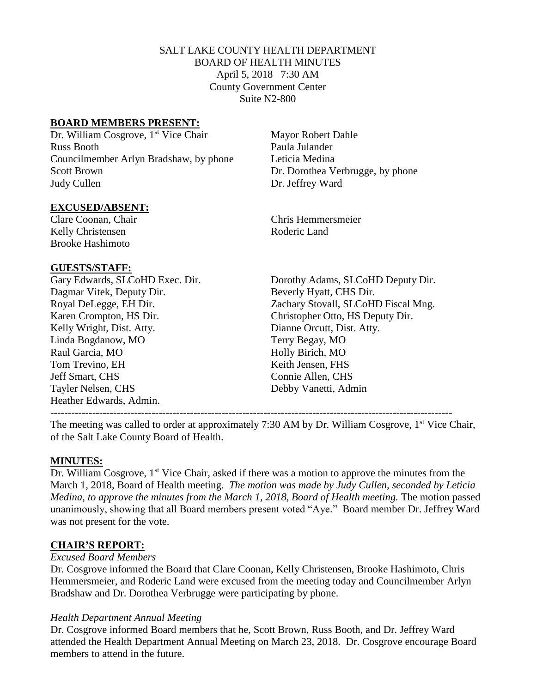### SALT LAKE COUNTY HEALTH DEPARTMENT BOARD OF HEALTH MINUTES April 5, 2018 7:30 AM County Government Center Suite N2-800

#### **BOARD MEMBERS PRESENT:**

Dr. William Cosgrove, 1<sup>st</sup> Vice Chair Russ Booth Paula Julander Councilmember Arlyn Bradshaw, by phone Leticia Medina Scott Brown Dr. Dorothea Verbrugge, by phone Judy Cullen Dr. Jeffrey Ward

#### **EXCUSED/ABSENT:**

Kelly Christensen Roderic Land Brooke Hashimoto

#### **GUESTS/STAFF:**

Dagmar Vitek, Deputy Dir. Beverly Hyatt, CHS Dir. Karen Crompton, HS Dir. Christopher Otto, HS Deputy Dir. Kelly Wright, Dist. Atty. Dianne Orcutt, Dist. Atty. Linda Bogdanow, MO Terry Begay, MO Raul Garcia, MO **Holly Birich, MO** Tom Trevino, EH Keith Jensen, FHS Jeff Smart, CHS Connie Allen, CHS Tayler Nelsen, CHS Debby Vanetti, Admin Heather Edwards, Admin.

Mayor Robert Dahle

Clare Coonan, Chair Chris Hemmersmeier

Gary Edwards, SLCoHD Exec. Dir. Dorothy Adams, SLCoHD Deputy Dir. Royal DeLegge, EH Dir. Zachary Stovall, SLCoHD Fiscal Mng.

-------------------------------------------------------------------------------------------------------------------

The meeting was called to order at approximately 7:30 AM by Dr. William Cosgrove,  $1<sup>st</sup>$  Vice Chair, of the Salt Lake County Board of Health.

## **MINUTES:**

Dr. William Cosgrove, 1<sup>st</sup> Vice Chair, asked if there was a motion to approve the minutes from the March 1, 2018, Board of Health meeting. *The motion was made by Judy Cullen, seconded by Leticia Medina, to approve the minutes from the March 1, 2018, Board of Health meeting.* The motion passed unanimously, showing that all Board members present voted "Aye." Board member Dr. Jeffrey Ward was not present for the vote.

#### **CHAIR'S REPORT:**

#### *Excused Board Members*

Dr. Cosgrove informed the Board that Clare Coonan, Kelly Christensen, Brooke Hashimoto, Chris Hemmersmeier, and Roderic Land were excused from the meeting today and Councilmember Arlyn Bradshaw and Dr. Dorothea Verbrugge were participating by phone.

#### *Health Department Annual Meeting*

Dr. Cosgrove informed Board members that he, Scott Brown, Russ Booth, and Dr. Jeffrey Ward attended the Health Department Annual Meeting on March 23, 2018. Dr. Cosgrove encourage Board members to attend in the future.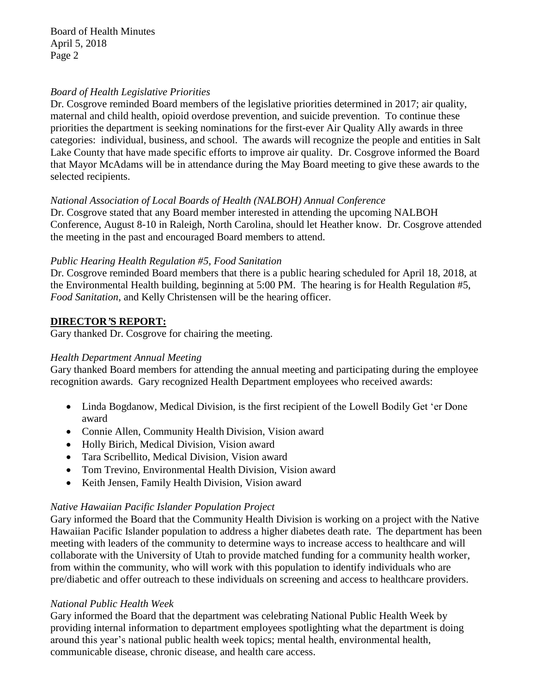Board of Health Minutes April 5, 2018 Page 2

#### *Board of Health Legislative Priorities*

Dr. Cosgrove reminded Board members of the legislative priorities determined in 2017; air quality, maternal and child health, opioid overdose prevention, and suicide prevention. To continue these priorities the department is seeking nominations for the first-ever Air Quality Ally awards in three categories: individual, business, and school. The awards will recognize the people and entities in Salt Lake County that have made specific efforts to improve air quality. Dr. Cosgrove informed the Board that Mayor McAdams will be in attendance during the May Board meeting to give these awards to the selected recipients.

#### *National Association of Local Boards of Health (NALBOH) Annual Conference*

Dr. Cosgrove stated that any Board member interested in attending the upcoming NALBOH Conference, August 8-10 in Raleigh, North Carolina, should let Heather know. Dr. Cosgrove attended the meeting in the past and encouraged Board members to attend.

#### *Public Hearing Health Regulation #5, Food Sanitation*

Dr. Cosgrove reminded Board members that there is a public hearing scheduled for April 18, 2018, at the Environmental Health building, beginning at 5:00 PM. The hearing is for Health Regulation #5, *Food Sanitation*, and Kelly Christensen will be the hearing officer.

## **DIRECTOR***'***S REPORT:**

Gary thanked Dr. Cosgrove for chairing the meeting.

## *Health Department Annual Meeting*

Gary thanked Board members for attending the annual meeting and participating during the employee recognition awards. Gary recognized Health Department employees who received awards:

- Linda Bogdanow, Medical Division, is the first recipient of the Lowell Bodily Get 'er Done award
- Connie Allen, Community Health Division, Vision award
- Holly Birich, Medical Division, Vision award
- Tara Scribellito, Medical Division, Vision award
- Tom Trevino, Environmental Health Division, Vision award
- Keith Jensen, Family Health Division, Vision award

## *Native Hawaiian Pacific Islander Population Project*

Gary informed the Board that the Community Health Division is working on a project with the Native Hawaiian Pacific Islander population to address a higher diabetes death rate. The department has been meeting with leaders of the community to determine ways to increase access to healthcare and will collaborate with the University of Utah to provide matched funding for a community health worker, from within the community, who will work with this population to identify individuals who are pre/diabetic and offer outreach to these individuals on screening and access to healthcare providers.

## *National Public Health Week*

Gary informed the Board that the department was celebrating National Public Health Week by providing internal information to department employees spotlighting what the department is doing around this year's national public health week topics; mental health, environmental health, communicable disease, chronic disease, and health care access.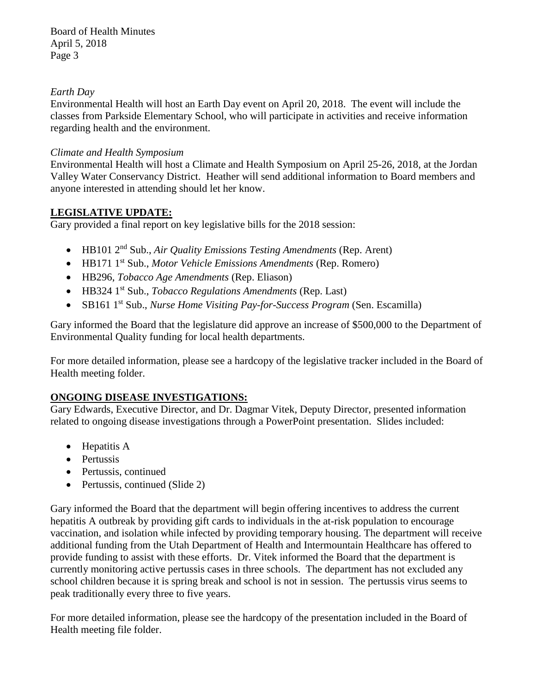Board of Health Minutes April 5, 2018 Page 3

## *Earth Day*

Environmental Health will host an Earth Day event on April 20, 2018. The event will include the classes from Parkside Elementary School, who will participate in activities and receive information regarding health and the environment.

## *Climate and Health Symposium*

Environmental Health will host a Climate and Health Symposium on April 25-26, 2018, at the Jordan Valley Water Conservancy District. Heather will send additional information to Board members and anyone interested in attending should let her know.

# **LEGISLATIVE UPDATE:**

Gary provided a final report on key legislative bills for the 2018 session:

- HB101 2<sup>nd</sup> Sub., *Air Quality Emissions Testing Amendments* (Rep. Arent)
- HB171 1 st Sub., *Motor Vehicle Emissions Amendments* (Rep. Romero)
- HB296, *Tobacco Age Amendments* (Rep. Eliason)
- HB324 1 st Sub., *Tobacco Regulations Amendments* (Rep. Last)
- SB161 1<sup>st</sup> Sub., *Nurse Home Visiting Pay-for-Success Program* (Sen. Escamilla)

Gary informed the Board that the legislature did approve an increase of \$500,000 to the Department of Environmental Quality funding for local health departments.

For more detailed information, please see a hardcopy of the legislative tracker included in the Board of Health meeting folder.

# **ONGOING DISEASE INVESTIGATIONS:**

Gary Edwards, Executive Director, and Dr. Dagmar Vitek, Deputy Director, presented information related to ongoing disease investigations through a PowerPoint presentation. Slides included:

- Hepatitis A
- Pertussis
- Pertussis, continued
- Pertussis, continued (Slide 2)

Gary informed the Board that the department will begin offering incentives to address the current hepatitis A outbreak by providing gift cards to individuals in the at-risk population to encourage vaccination, and isolation while infected by providing temporary housing. The department will receive additional funding from the Utah Department of Health and Intermountain Healthcare has offered to provide funding to assist with these efforts. Dr. Vitek informed the Board that the department is currently monitoring active pertussis cases in three schools. The department has not excluded any school children because it is spring break and school is not in session. The pertussis virus seems to peak traditionally every three to five years.

For more detailed information, please see the hardcopy of the presentation included in the Board of Health meeting file folder.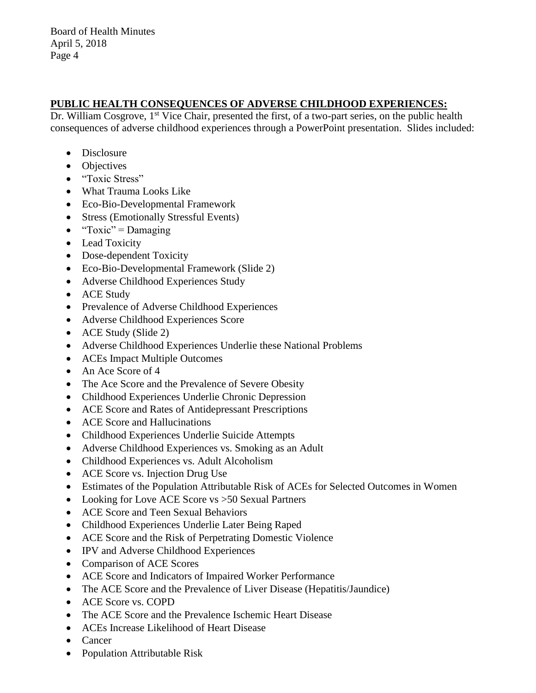## **PUBLIC HEALTH CONSEQUENCES OF ADVERSE CHILDHOOD EXPERIENCES:**

Dr. William Cosgrove, 1<sup>st</sup> Vice Chair, presented the first, of a two-part series, on the public health consequences of adverse childhood experiences through a PowerPoint presentation. Slides included:

- Disclosure
- Objectives
- "Toxic Stress"
- What Trauma Looks Like
- Eco-Bio-Developmental Framework
- Stress (Emotionally Stressful Events)
- $"Toxic" =.$
- Lead Toxicity
- Dose-dependent Toxicity
- Eco-Bio-Developmental Framework (Slide 2)
- Adverse Childhood Experiences Study
- ACE Study
- Prevalence of Adverse Childhood Experiences
- Adverse Childhood Experiences Score
- ACE Study (Slide 2)
- Adverse Childhood Experiences Underlie these National Problems
- ACEs Impact Multiple Outcomes
- An Ace Score of 4
- The Ace Score and the Prevalence of Severe Obesity
- Childhood Experiences Underlie Chronic Depression
- ACE Score and Rates of Antidepressant Prescriptions
- ACE Score and Hallucinations
- Childhood Experiences Underlie Suicide Attempts
- Adverse Childhood Experiences vs. Smoking as an Adult
- Childhood Experiences vs. Adult Alcoholism
- ACE Score vs. Injection Drug Use
- Estimates of the Population Attributable Risk of ACEs for Selected Outcomes in Women
- Looking for Love ACE Score vs > 50 Sexual Partners
- ACE Score and Teen Sexual Behaviors
- Childhood Experiences Underlie Later Being Raped
- ACE Score and the Risk of Perpetrating Domestic Violence
- IPV and Adverse Childhood Experiences
- Comparison of ACE Scores
- ACE Score and Indicators of Impaired Worker Performance
- The ACE Score and the Prevalence of Liver Disease (Hepatitis/Jaundice)
- ACE Score vs. COPD
- The ACE Score and the Prevalence Ischemic Heart Disease
- ACEs Increase Likelihood of Heart Disease
- Cancer
- Population Attributable Risk